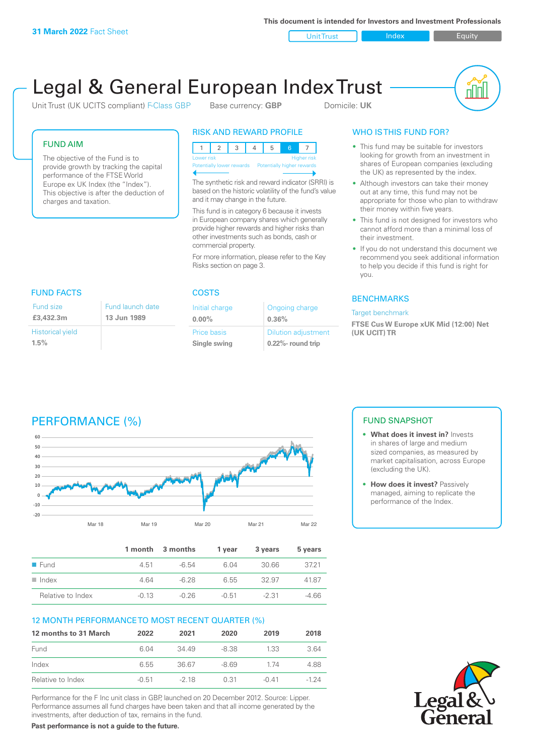**This document is intended for Investors and Investment Professionals**

Unit Trust Index **Index** Equity

# Legal & General European Index Trust

Unit Trust (UK UCITS compliant) F-Class GBP Base currency: **GBP** Domicile: UK



#### FUND AIM

The objective of the Fund is to provide growth by tracking the capital performance of the FTSE World Europe ex UK Index (the "Index"). This objective is after the deduction of charges and taxation.

### RISK AND REWARD PROFILE

| <b>Higher risk</b><br>Lower risk |  |  |  |                            |  |  |
|----------------------------------|--|--|--|----------------------------|--|--|
| Potentially lower rewards        |  |  |  | Potentially higher rewards |  |  |
|                                  |  |  |  |                            |  |  |

The synthetic risk and reward indicator (SRRI) is based on the historic volatility of the fund's value and it may change in the future.

This fund is in category 6 because it invests in European company shares which generally provide higher rewards and higher risks than other investments such as bonds, cash or commercial property.

For more information, please refer to the Key Risks section on page 3.

| <b>FUND FACTS</b>               |                                             | <b>COSTS</b>                |                                                     |  |  |
|---------------------------------|---------------------------------------------|-----------------------------|-----------------------------------------------------|--|--|
| Fund size<br>£3,432.3m          | Fund launch date<br>13 Jun 1989<br>$0.00\%$ | Initial charge              | Ongoing charge<br>0.36%                             |  |  |
| <b>Historical yield</b><br>1.5% |                                             | Price basis<br>Single swing | <b>Dilution adjustment</b><br>$0.22\%$ - round trip |  |  |

### WHO IS THIS FUND FOR?

- This fund may be suitable for investors looking for growth from an investment in shares of European companies (excluding the UK) as represented by the index.
- Although investors can take their money out at any time, this fund may not be appropriate for those who plan to withdraw their money within five years.
- This fund is not designed for investors who cannot afford more than a minimal loss of their investment.
- If you do not understand this document we recommend you seek additional information to help you decide if this fund is right for you.

#### **BENCHMARKS**

#### Target benchmark

**FTSE Cus W Europe xUK Mid (12:00) Net (UK UCIT) TR**

# PERFORMANCE (%)



|                      |         | 1 month 3 months | 1 vear  | 3 years | 5 years |
|----------------------|---------|------------------|---------|---------|---------|
| $\blacksquare$ Fund  | 4.51    | $-6.54$          | 6.04    | 30.66   | 3721    |
| $\blacksquare$ Index | 4.64    | -6.28            | 6.55    | 32.97   | 41.87   |
| Relative to Index    | $-0.13$ | $-0.26$          | $-0.51$ | -2.31   | $-4.66$ |

#### 12 MONTH PERFORMANCE TO MOST RECENT QUARTER (%)

| 12 months to 31 March | 2022    | 2021   | 2020   | 2019    | 2018   |
|-----------------------|---------|--------|--------|---------|--------|
| Fund                  | 6.04    | 34 49  | -8.38  | 1.33    | 3.64   |
| Index                 | 6.55    | 36.67  | $-869$ | 174     | 4.88   |
| Relative to Index     | $-0.51$ | $-218$ | 0.31   | $-0.41$ | $-124$ |

Performance for the F Inc unit class in GBP, launched on 20 December 2012. Source: Lipper. Performance assumes all fund charges have been taken and that all income generated by the investments, after deduction of tax, remains in the fund.

**Past performance is not a guide to the future.**

#### FUND SNAPSHOT

- **• What does it invest in?** Invests in shares of large and medium sized companies, as measured by market capitalisation, across Europe (excluding the UK).
- **• How does it invest?** Passively managed, aiming to replicate the performance of the Index.

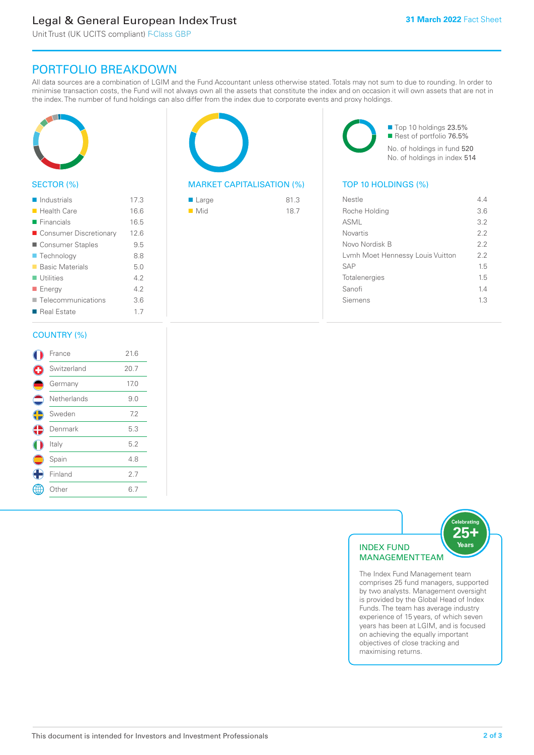# Legal & General European Index Trust

Unit Trust (UK UCITS compliant) F-Class GBP

# PORTFOLIO BREAKDOWN

All data sources are a combination of LGIM and the Fund Accountant unless otherwise stated. Totals may not sum to due to rounding. In order to minimise transaction costs, the Fund will not always own all the assets that constitute the index and on occasion it will own assets that are not in the index. The number of fund holdings can also differ from the index due to corporate events and proxy holdings.



#### SECTOR (%)

| $\blacksquare$ Industrials | 17.3 |
|----------------------------|------|
| $\blacksquare$ Health Care | 16.6 |
| $\blacksquare$ Financials  | 16.5 |
| ■ Consumer Discretionary   | 12.6 |
| ■ Consumer Staples         | 9.5  |
| ■ Technology               | 8.8  |
| <b>Basic Materials</b>     | 5.0  |
| $\blacksquare$ Utilities   | 4.2  |
| ■ Energy                   | 4.2  |
| Telecommunications         | 3.6  |
| ■ Real Estate              | 1.7  |
|                            |      |

#### COUNTRY (%)

|            | France      | 21.6 |  |
|------------|-------------|------|--|
| E)         | Switzerland | 20.7 |  |
|            | Germany     | 17.0 |  |
|            | Netherlands | 9.0  |  |
| $\bigodot$ | Sweden      | 7.2  |  |
| ♦          | Denmark     | 5.3  |  |
|            | Italy       | 5.2  |  |
|            | Spain       | 4.8  |  |
|            | Finland     | 2.7  |  |
|            | Other       | 6.7  |  |
|            |             |      |  |



#### MARKET CAPITALISATION (%) TOP 10 HOLDINGS (%)

| ■ Large            | 81.3 |
|--------------------|------|
| $\blacksquare$ Mid | 18.7 |

■ Top 10 holdings 23.5% Rest of portfolio 76.5% No. of holdings in fund 520 No. of holdings in index 514

| Nestle                           | 44  |
|----------------------------------|-----|
| Roche Holding                    | 3.6 |
| ASML                             | 32  |
| Novartis                         | 22  |
| Novo Nordisk B                   | 22  |
| Lymh Moet Hennessy Louis Vuitton | 22  |
| <b>SAP</b>                       | 15  |
| Totalenergies                    | 15  |
| Sanofi                           | 1.4 |
| Siemens                          | 13  |
|                                  |     |



The Index Fund Management team comprises 25 fund managers, supported by two analysts. Management oversight is provided by the Global Head of Index Funds. The team has average industry experience of 15 years, of which seven years has been at LGIM, and is focused on achieving the equally important objectives of close tracking and maximising returns.